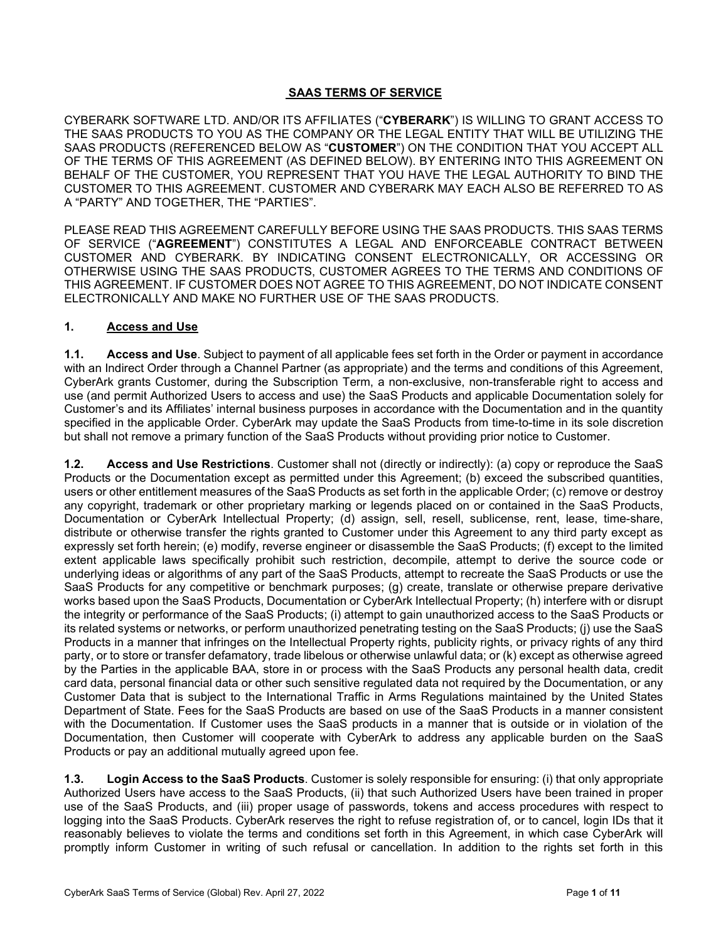## **SAAS TERMS OF SERVICE**

CYBERARK SOFTWARE LTD. AND/OR ITS AFFILIATES ("**CYBERARK**") IS WILLING TO GRANT ACCESS TO THE SAAS PRODUCTS TO YOU AS THE COMPANY OR THE LEGAL ENTITY THAT WILL BE UTILIZING THE SAAS PRODUCTS (REFERENCED BELOW AS "**CUSTOMER**") ON THE CONDITION THAT YOU ACCEPT ALL OF THE TERMS OF THIS AGREEMENT (AS DEFINED BELOW). BY ENTERING INTO THIS AGREEMENT ON BEHALF OF THE CUSTOMER, YOU REPRESENT THAT YOU HAVE THE LEGAL AUTHORITY TO BIND THE CUSTOMER TO THIS AGREEMENT. CUSTOMER AND CYBERARK MAY EACH ALSO BE REFERRED TO AS A "PARTY" AND TOGETHER, THE "PARTIES".

PLEASE READ THIS AGREEMENT CAREFULLY BEFORE USING THE SAAS PRODUCTS. THIS SAAS TERMS OF SERVICE ("**AGREEMENT**") CONSTITUTES A LEGAL AND ENFORCEABLE CONTRACT BETWEEN CUSTOMER AND CYBERARK. BY INDICATING CONSENT ELECTRONICALLY, OR ACCESSING OR OTHERWISE USING THE SAAS PRODUCTS, CUSTOMER AGREES TO THE TERMS AND CONDITIONS OF THIS AGREEMENT. IF CUSTOMER DOES NOT AGREE TO THIS AGREEMENT, DO NOT INDICATE CONSENT ELECTRONICALLY AND MAKE NO FURTHER USE OF THE SAAS PRODUCTS.

#### **1. Access and Use**

**1.1. Access and Use**. Subject to payment of all applicable fees set forth in the Order or payment in accordance with an Indirect Order through a Channel Partner (as appropriate) and the terms and conditions of this Agreement, CyberArk grants Customer, during the Subscription Term, a non-exclusive, non-transferable right to access and use (and permit Authorized Users to access and use) the SaaS Products and applicable Documentation solely for Customer's and its Affiliates' internal business purposes in accordance with the Documentation and in the quantity specified in the applicable Order. CyberArk may update the SaaS Products from time-to-time in its sole discretion but shall not remove a primary function of the SaaS Products without providing prior notice to Customer.

**1.2. Access and Use Restrictions**. Customer shall not (directly or indirectly): (a) copy or reproduce the SaaS Products or the Documentation except as permitted under this Agreement; (b) exceed the subscribed quantities, users or other entitlement measures of the SaaS Products as set forth in the applicable Order; (c) remove or destroy any copyright, trademark or other proprietary marking or legends placed on or contained in the SaaS Products, Documentation or CyberArk Intellectual Property; (d) assign, sell, resell, sublicense, rent, lease, time-share, distribute or otherwise transfer the rights granted to Customer under this Agreement to any third party except as expressly set forth herein; (e) modify, reverse engineer or disassemble the SaaS Products; (f) except to the limited extent applicable laws specifically prohibit such restriction, decompile, attempt to derive the source code or underlying ideas or algorithms of any part of the SaaS Products, attempt to recreate the SaaS Products or use the SaaS Products for any competitive or benchmark purposes; (g) create, translate or otherwise prepare derivative works based upon the SaaS Products, Documentation or CyberArk Intellectual Property; (h) interfere with or disrupt the integrity or performance of the SaaS Products; (i) attempt to gain unauthorized access to the SaaS Products or its related systems or networks, or perform unauthorized penetrating testing on the SaaS Products; (j) use the SaaS Products in a manner that infringes on the Intellectual Property rights, publicity rights, or privacy rights of any third party, or to store or transfer defamatory, trade libelous or otherwise unlawful data; or (k) except as otherwise agreed by the Parties in the applicable BAA, store in or process with the SaaS Products any personal health data, credit card data, personal financial data or other such sensitive regulated data not required by the Documentation, or any Customer Data that is subject to the International Traffic in Arms Regulations maintained by the United States Department of State. Fees for the SaaS Products are based on use of the SaaS Products in a manner consistent with the Documentation. If Customer uses the SaaS products in a manner that is outside or in violation of the Documentation, then Customer will cooperate with CyberArk to address any applicable burden on the SaaS Products or pay an additional mutually agreed upon fee.

**1.3. Login Access to the SaaS Products**. Customer is solely responsible for ensuring: (i) that only appropriate Authorized Users have access to the SaaS Products, (ii) that such Authorized Users have been trained in proper use of the SaaS Products, and (iii) proper usage of passwords, tokens and access procedures with respect to logging into the SaaS Products. CyberArk reserves the right to refuse registration of, or to cancel, login IDs that it reasonably believes to violate the terms and conditions set forth in this Agreement, in which case CyberArk will promptly inform Customer in writing of such refusal or cancellation. In addition to the rights set forth in this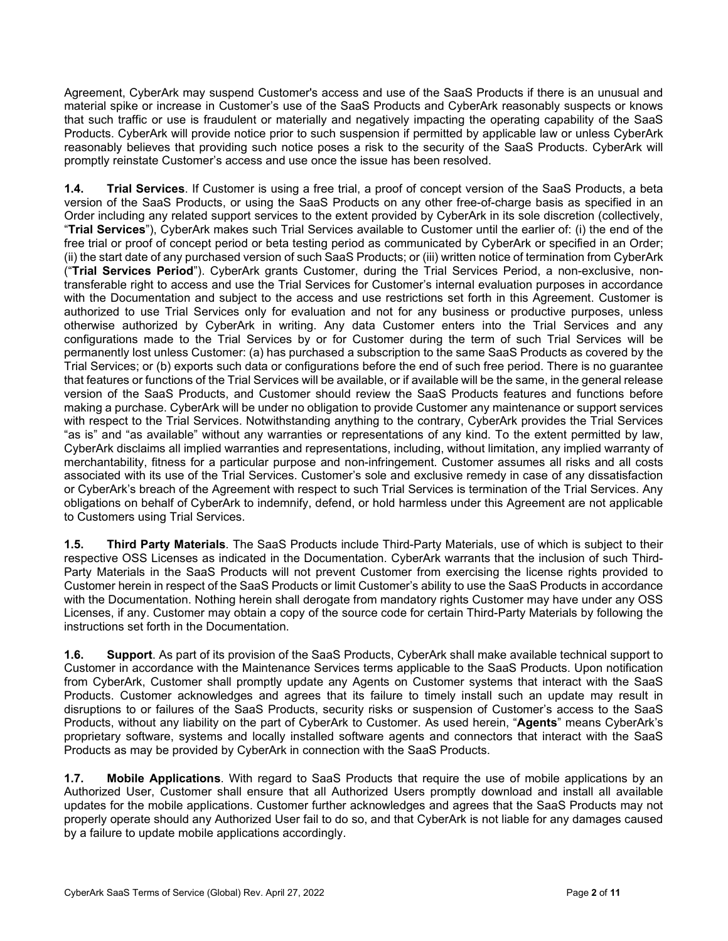Agreement, CyberArk may suspend Customer's access and use of the SaaS Products if there is an unusual and material spike or increase in Customer's use of the SaaS Products and CyberArk reasonably suspects or knows that such traffic or use is fraudulent or materially and negatively impacting the operating capability of the SaaS Products. CyberArk will provide notice prior to such suspension if permitted by applicable law or unless CyberArk reasonably believes that providing such notice poses a risk to the security of the SaaS Products. CyberArk will promptly reinstate Customer's access and use once the issue has been resolved.

**1.4. Trial Services**. If Customer is using a free trial, a proof of concept version of the SaaS Products, a beta version of the SaaS Products, or using the SaaS Products on any other free-of-charge basis as specified in an Order including any related support services to the extent provided by CyberArk in its sole discretion (collectively, "**Trial Services**"), CyberArk makes such Trial Services available to Customer until the earlier of: (i) the end of the free trial or proof of concept period or beta testing period as communicated by CyberArk or specified in an Order; (ii) the start date of any purchased version of such SaaS Products; or (iii) written notice of termination from CyberArk ("**Trial Services Period**"). CyberArk grants Customer, during the Trial Services Period, a non-exclusive, nontransferable right to access and use the Trial Services for Customer's internal evaluation purposes in accordance with the Documentation and subject to the access and use restrictions set forth in this Agreement. Customer is authorized to use Trial Services only for evaluation and not for any business or productive purposes, unless otherwise authorized by CyberArk in writing. Any data Customer enters into the Trial Services and any configurations made to the Trial Services by or for Customer during the term of such Trial Services will be permanently lost unless Customer: (a) has purchased a subscription to the same SaaS Products as covered by the Trial Services; or (b) exports such data or configurations before the end of such free period. There is no guarantee that features or functions of the Trial Services will be available, or if available will be the same, in the general release version of the SaaS Products, and Customer should review the SaaS Products features and functions before making a purchase. CyberArk will be under no obligation to provide Customer any maintenance or support services with respect to the Trial Services. Notwithstanding anything to the contrary, CyberArk provides the Trial Services "as is" and "as available" without any warranties or representations of any kind. To the extent permitted by law, CyberArk disclaims all implied warranties and representations, including, without limitation, any implied warranty of merchantability, fitness for a particular purpose and non-infringement. Customer assumes all risks and all costs associated with its use of the Trial Services. Customer's sole and exclusive remedy in case of any dissatisfaction or CyberArk's breach of the Agreement with respect to such Trial Services is termination of the Trial Services. Any obligations on behalf of CyberArk to indemnify, defend, or hold harmless under this Agreement are not applicable to Customers using Trial Services.

**1.5. Third Party Materials**. The SaaS Products include Third-Party Materials, use of which is subject to their respective OSS Licenses as indicated in the Documentation. CyberArk warrants that the inclusion of such Third-Party Materials in the SaaS Products will not prevent Customer from exercising the license rights provided to Customer herein in respect of the SaaS Products or limit Customer's ability to use the SaaS Products in accordance with the Documentation. Nothing herein shall derogate from mandatory rights Customer may have under any OSS Licenses, if any. Customer may obtain a copy of the source code for certain Third-Party Materials by following the instructions set forth in the Documentation.

**1.6. Support**. As part of its provision of the SaaS Products, CyberArk shall make available technical support to Customer in accordance with the Maintenance Services terms applicable to the SaaS Products. Upon notification from CyberArk, Customer shall promptly update any Agents on Customer systems that interact with the SaaS Products. Customer acknowledges and agrees that its failure to timely install such an update may result in disruptions to or failures of the SaaS Products, security risks or suspension of Customer's access to the SaaS Products, without any liability on the part of CyberArk to Customer. As used herein, "**Agents**" means CyberArk's proprietary software, systems and locally installed software agents and connectors that interact with the SaaS Products as may be provided by CyberArk in connection with the SaaS Products.

**1.7. Mobile Applications**. With regard to SaaS Products that require the use of mobile applications by an Authorized User, Customer shall ensure that all Authorized Users promptly download and install all available updates for the mobile applications. Customer further acknowledges and agrees that the SaaS Products may not properly operate should any Authorized User fail to do so, and that CyberArk is not liable for any damages caused by a failure to update mobile applications accordingly.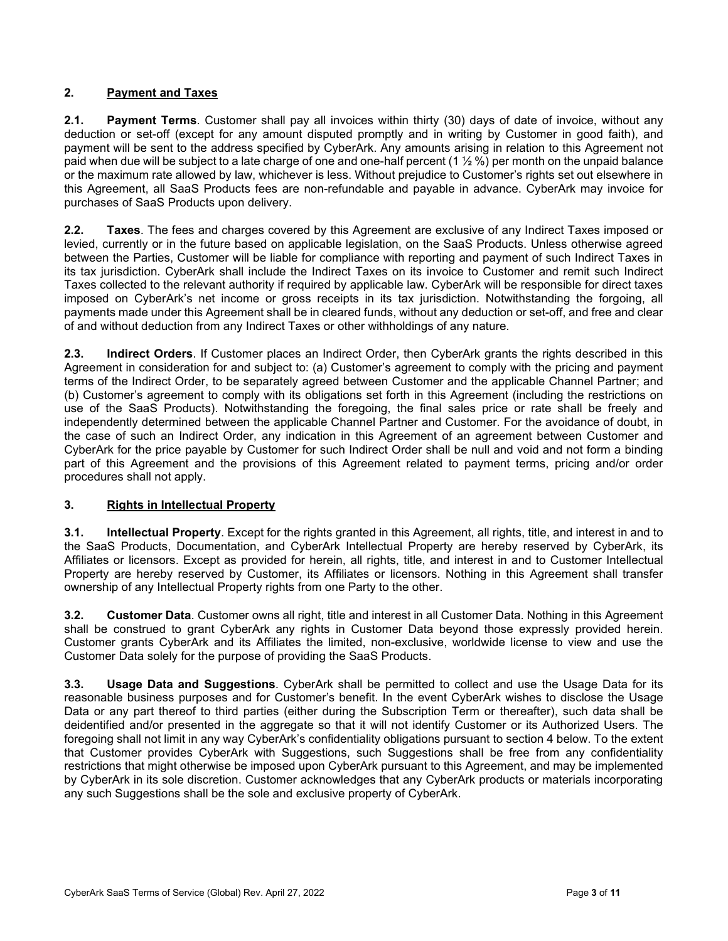## **2. Payment and Taxes**

**2.1. Payment Terms**. Customer shall pay all invoices within thirty (30) days of date of invoice, without any deduction or set-off (except for any amount disputed promptly and in writing by Customer in good faith), and payment will be sent to the address specified by CyberArk. Any amounts arising in relation to this Agreement not paid when due will be subject to a late charge of one and one-half percent (1  $\frac{1}{2}$  %) per month on the unpaid balance or the maximum rate allowed by law, whichever is less. Without prejudice to Customer's rights set out elsewhere in this Agreement, all SaaS Products fees are non-refundable and payable in advance. CyberArk may invoice for purchases of SaaS Products upon delivery.

**2.2. Taxes**. The fees and charges covered by this Agreement are exclusive of any Indirect Taxes imposed or levied, currently or in the future based on applicable legislation, on the SaaS Products. Unless otherwise agreed between the Parties, Customer will be liable for compliance with reporting and payment of such Indirect Taxes in its tax jurisdiction. CyberArk shall include the Indirect Taxes on its invoice to Customer and remit such Indirect Taxes collected to the relevant authority if required by applicable law. CyberArk will be responsible for direct taxes imposed on CyberArk's net income or gross receipts in its tax jurisdiction. Notwithstanding the forgoing, all payments made under this Agreement shall be in cleared funds, without any deduction or set-off, and free and clear of and without deduction from any Indirect Taxes or other withholdings of any nature.

**2.3. Indirect Orders**. If Customer places an Indirect Order, then CyberArk grants the rights described in this Agreement in consideration for and subject to: (a) Customer's agreement to comply with the pricing and payment terms of the Indirect Order, to be separately agreed between Customer and the applicable Channel Partner; and (b) Customer's agreement to comply with its obligations set forth in this Agreement (including the restrictions on use of the SaaS Products). Notwithstanding the foregoing, the final sales price or rate shall be freely and independently determined between the applicable Channel Partner and Customer. For the avoidance of doubt, in the case of such an Indirect Order, any indication in this Agreement of an agreement between Customer and CyberArk for the price payable by Customer for such Indirect Order shall be null and void and not form a binding part of this Agreement and the provisions of this Agreement related to payment terms, pricing and/or order procedures shall not apply.

### **3. Rights in Intellectual Property**

**3.1. Intellectual Property**. Except for the rights granted in this Agreement, all rights, title, and interest in and to the SaaS Products, Documentation, and CyberArk Intellectual Property are hereby reserved by CyberArk, its Affiliates or licensors. Except as provided for herein, all rights, title, and interest in and to Customer Intellectual Property are hereby reserved by Customer, its Affiliates or licensors. Nothing in this Agreement shall transfer ownership of any Intellectual Property rights from one Party to the other.

**3.2. Customer Data**. Customer owns all right, title and interest in all Customer Data. Nothing in this Agreement shall be construed to grant CyberArk any rights in Customer Data beyond those expressly provided herein. Customer grants CyberArk and its Affiliates the limited, non-exclusive, worldwide license to view and use the Customer Data solely for the purpose of providing the SaaS Products.

**3.3. Usage Data and Suggestions**. CyberArk shall be permitted to collect and use the Usage Data for its reasonable business purposes and for Customer's benefit. In the event CyberArk wishes to disclose the Usage Data or any part thereof to third parties (either during the Subscription Term or thereafter), such data shall be deidentified and/or presented in the aggregate so that it will not identify Customer or its Authorized Users. The foregoing shall not limit in any way CyberArk's confidentiality obligations pursuant to section 4 below. To the extent that Customer provides CyberArk with Suggestions, such Suggestions shall be free from any confidentiality restrictions that might otherwise be imposed upon CyberArk pursuant to this Agreement, and may be implemented by CyberArk in its sole discretion. Customer acknowledges that any CyberArk products or materials incorporating any such Suggestions shall be the sole and exclusive property of CyberArk.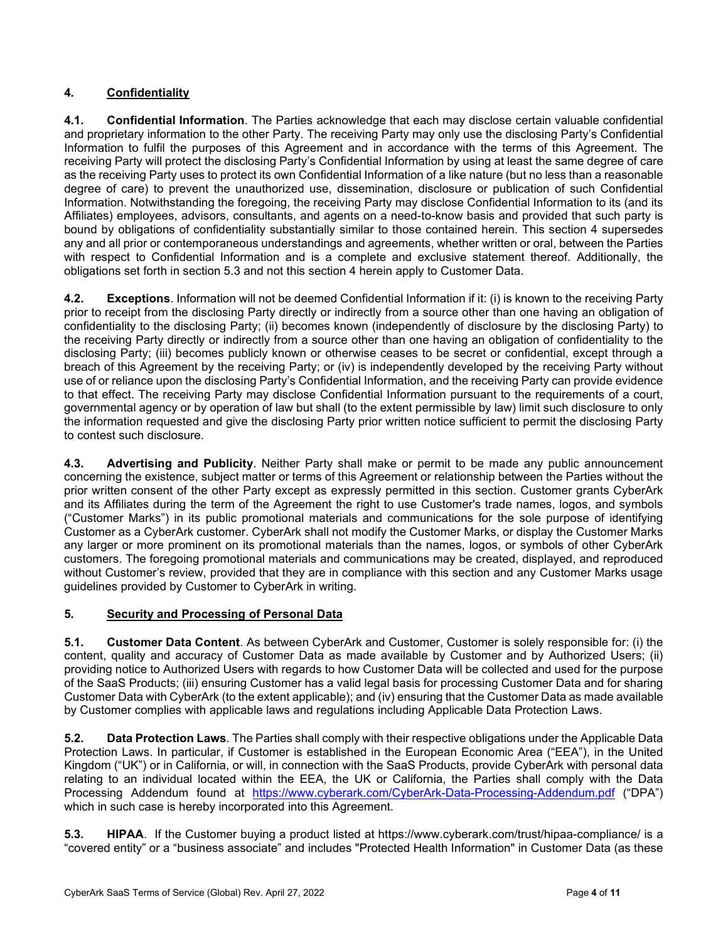# **4. Confidentiality**

**4.1. Confidential Information**. The Parties acknowledge that each may disclose certain valuable confidential and proprietary information to the other Party. The receiving Party may only use the disclosing Party's Confidential Information to fulfil the purposes of this Agreement and in accordance with the terms of this Agreement. The receiving Party will protect the disclosing Party's Confidential Information by using at least the same degree of care as the receiving Party uses to protect its own Confidential Information of a like nature (but no less than a reasonable degree of care) to prevent the unauthorized use, dissemination, disclosure or publication of such Confidential Information. Notwithstanding the foregoing, the receiving Party may disclose Confidential Information to its (and its Affiliates) employees, advisors, consultants, and agents on a need-to-know basis and provided that such party is bound by obligations of confidentiality substantially similar to those contained herein. This section 4 supersedes any and all prior or contemporaneous understandings and agreements, whether written or oral, between the Parties with respect to Confidential Information and is a complete and exclusive statement thereof. Additionally, the obligations set forth in section 5.3 and not this section 4 herein apply to Customer Data.

**4.2. Exceptions**. Information will not be deemed Confidential Information if it: (i) is known to the receiving Party prior to receipt from the disclosing Party directly or indirectly from a source other than one having an obligation of confidentiality to the disclosing Party; (ii) becomes known (independently of disclosure by the disclosing Party) to the receiving Party directly or indirectly from a source other than one having an obligation of confidentiality to the disclosing Party; (iii) becomes publicly known or otherwise ceases to be secret or confidential, except through a breach of this Agreement by the receiving Party; or (iv) is independently developed by the receiving Party without use of or reliance upon the disclosing Party's Confidential Information, and the receiving Party can provide evidence to that effect. The receiving Party may disclose Confidential Information pursuant to the requirements of a court, governmental agency or by operation of law but shall (to the extent permissible by law) limit such disclosure to only the information requested and give the disclosing Party prior written notice sufficient to permit the disclosing Party to contest such disclosure.

**4.3. Advertising and Publicity**. Neither Party shall make or permit to be made any public announcement concerning the existence, subject matter or terms of this Agreement or relationship between the Parties without the prior written consent of the other Party except as expressly permitted in this section. Customer grants CyberArk and its Affiliates during the term of the Agreement the right to use Customer's trade names, logos, and symbols ("Customer Marks") in its public promotional materials and communications for the sole purpose of identifying Customer as a CyberArk customer. CyberArk shall not modify the Customer Marks, or display the Customer Marks any larger or more prominent on its promotional materials than the names, logos, or symbols of other CyberArk customers. The foregoing promotional materials and communications may be created, displayed, and reproduced without Customer's review, provided that they are in compliance with this section and any Customer Marks usage guidelines provided by Customer to CyberArk in writing.

### **5. Security and Processing of Personal Data**

**5.1. Customer Data Content**. As between CyberArk and Customer, Customer is solely responsible for: (i) the content, quality and accuracy of Customer Data as made available by Customer and by Authorized Users; (ii) providing notice to Authorized Users with regards to how Customer Data will be collected and used for the purpose of the SaaS Products; (iii) ensuring Customer has a valid legal basis for processing Customer Data and for sharing Customer Data with CyberArk (to the extent applicable); and (iv) ensuring that the Customer Data as made available by Customer complies with applicable laws and regulations including Applicable Data Protection Laws.

**5.2. Data Protection Laws**. The Parties shall comply with their respective obligations under the Applicable Data Protection Laws. In particular, if Customer is established in the European Economic Area ("EEA"), in the United Kingdom ("UK") or in California, or will, in connection with the SaaS Products, provide CyberArk with personal data relating to an individual located within the EEA, the UK or California, the Parties shall comply with the Data Processing Addendum found at <https://www.cyberark.com/CyberArk-Data-Processing-Addendum.pdf> ("DPA") which in such case is hereby incorporated into this Agreement.

**5.3. HIPAA**. If the Customer buying a product listed at https://www.cyberark.com/trust/hipaa-compliance/ is a "covered entity" or a "business associate" and includes "Protected Health Information" in Customer Data (as these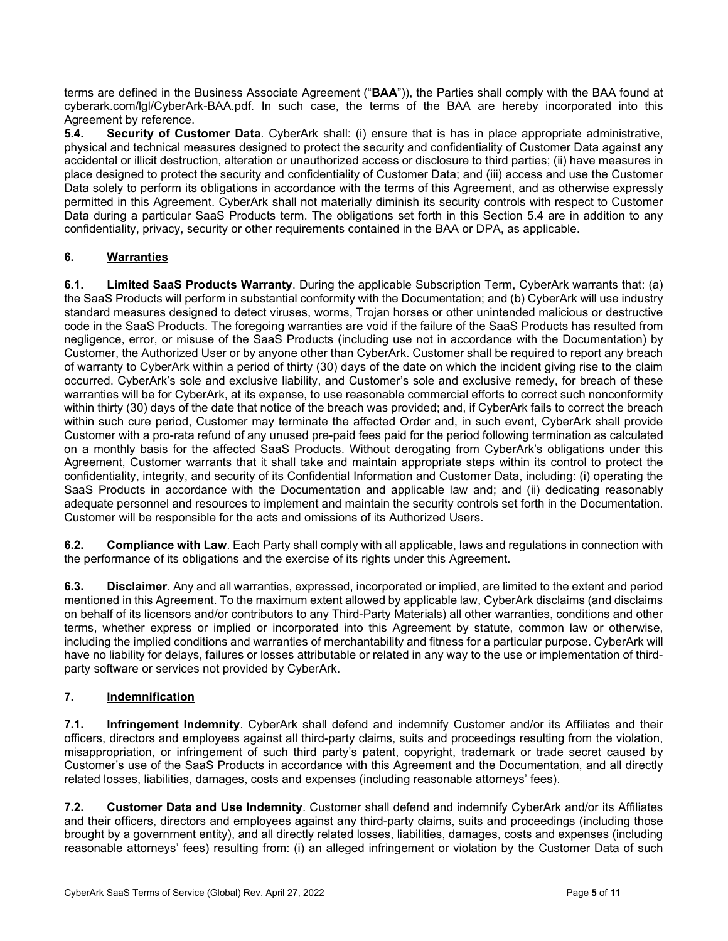terms are defined in the Business Associate Agreement ("**BAA**")), the Parties shall comply with the BAA found at cyberark.com/lgl/CyberArk-BAA.pdf. In such case, the terms of the BAA are hereby incorporated into this Agreement by reference.<br>5.4. Security of Cus

**Security of Customer Data**. CyberArk shall: (i) ensure that is has in place appropriate administrative, physical and technical measures designed to protect the security and confidentiality of Customer Data against any accidental or illicit destruction, alteration or unauthorized access or disclosure to third parties; (ii) have measures in place designed to protect the security and confidentiality of Customer Data; and (iii) access and use the Customer Data solely to perform its obligations in accordance with the terms of this Agreement, and as otherwise expressly permitted in this Agreement. CyberArk shall not materially diminish its security controls with respect to Customer Data during a particular SaaS Products term. The obligations set forth in this Section 5.4 are in addition to any confidentiality, privacy, security or other requirements contained in the BAA or DPA, as applicable.

## **6. Warranties**

**6.1. Limited SaaS Products Warranty**. During the applicable Subscription Term, CyberArk warrants that: (a) the SaaS Products will perform in substantial conformity with the Documentation; and (b) CyberArk will use industry standard measures designed to detect viruses, worms, Trojan horses or other unintended malicious or destructive code in the SaaS Products. The foregoing warranties are void if the failure of the SaaS Products has resulted from negligence, error, or misuse of the SaaS Products (including use not in accordance with the Documentation) by Customer, the Authorized User or by anyone other than CyberArk. Customer shall be required to report any breach of warranty to CyberArk within a period of thirty (30) days of the date on which the incident giving rise to the claim occurred. CyberArk's sole and exclusive liability, and Customer's sole and exclusive remedy, for breach of these warranties will be for CyberArk, at its expense, to use reasonable commercial efforts to correct such nonconformity within thirty (30) days of the date that notice of the breach was provided; and, if CyberArk fails to correct the breach within such cure period, Customer may terminate the affected Order and, in such event, CyberArk shall provide Customer with a pro-rata refund of any unused pre-paid fees paid for the period following termination as calculated on a monthly basis for the affected SaaS Products. Without derogating from CyberArk's obligations under this Agreement, Customer warrants that it shall take and maintain appropriate steps within its control to protect the confidentiality, integrity, and security of its Confidential Information and Customer Data, including: (i) operating the SaaS Products in accordance with the Documentation and applicable law and; and (ii) dedicating reasonably adequate personnel and resources to implement and maintain the security controls set forth in the Documentation. Customer will be responsible for the acts and omissions of its Authorized Users.

**6.2. Compliance with Law**. Each Party shall comply with all applicable, laws and regulations in connection with the performance of its obligations and the exercise of its rights under this Agreement.

**6.3. Disclaimer**. Any and all warranties, expressed, incorporated or implied, are limited to the extent and period mentioned in this Agreement. To the maximum extent allowed by applicable law, CyberArk disclaims (and disclaims on behalf of its licensors and/or contributors to any Third-Party Materials) all other warranties, conditions and other terms, whether express or implied or incorporated into this Agreement by statute, common law or otherwise, including the implied conditions and warranties of merchantability and fitness for a particular purpose. CyberArk will have no liability for delays, failures or losses attributable or related in any way to the use or implementation of thirdparty software or services not provided by CyberArk.

# **7. Indemnification**

**7.1. Infringement Indemnity**. CyberArk shall defend and indemnify Customer and/or its Affiliates and their officers, directors and employees against all third-party claims, suits and proceedings resulting from the violation, misappropriation, or infringement of such third party's patent, copyright, trademark or trade secret caused by Customer's use of the SaaS Products in accordance with this Agreement and the Documentation, and all directly related losses, liabilities, damages, costs and expenses (including reasonable attorneys' fees).

**7.2. Customer Data and Use Indemnity**. Customer shall defend and indemnify CyberArk and/or its Affiliates and their officers, directors and employees against any third-party claims, suits and proceedings (including those brought by a government entity), and all directly related losses, liabilities, damages, costs and expenses (including reasonable attorneys' fees) resulting from: (i) an alleged infringement or violation by the Customer Data of such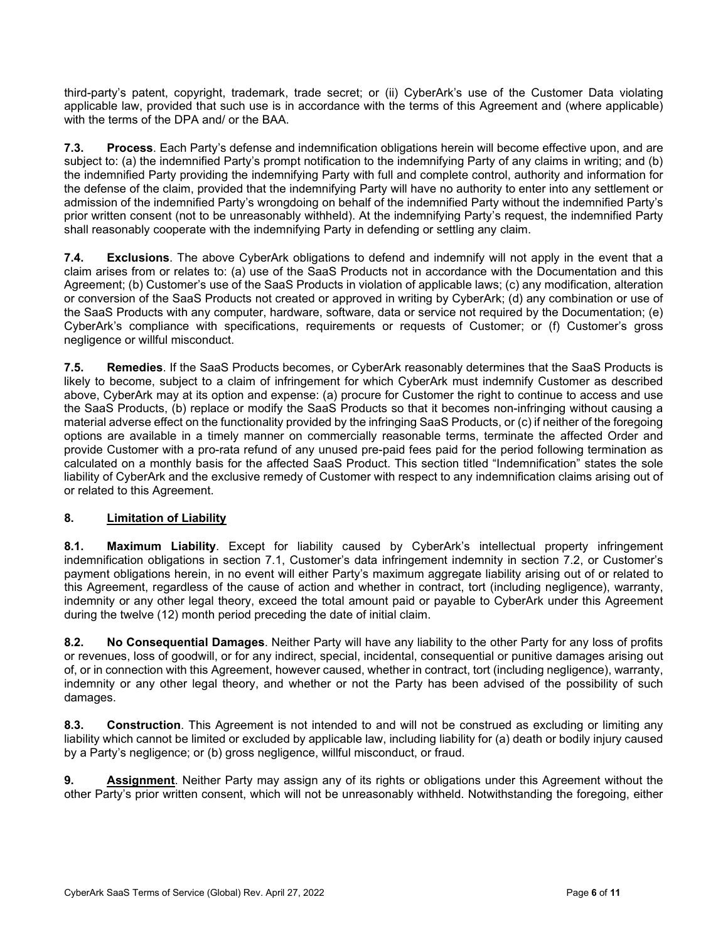third-party's patent, copyright, trademark, trade secret; or (ii) CyberArk's use of the Customer Data violating applicable law, provided that such use is in accordance with the terms of this Agreement and (where applicable) with the terms of the DPA and/ or the BAA.

**7.3. Process**. Each Party's defense and indemnification obligations herein will become effective upon, and are subject to: (a) the indemnified Party's prompt notification to the indemnifying Party of any claims in writing; and (b) the indemnified Party providing the indemnifying Party with full and complete control, authority and information for the defense of the claim, provided that the indemnifying Party will have no authority to enter into any settlement or admission of the indemnified Party's wrongdoing on behalf of the indemnified Party without the indemnified Party's prior written consent (not to be unreasonably withheld). At the indemnifying Party's request, the indemnified Party shall reasonably cooperate with the indemnifying Party in defending or settling any claim.

**7.4. Exclusions**. The above CyberArk obligations to defend and indemnify will not apply in the event that a claim arises from or relates to: (a) use of the SaaS Products not in accordance with the Documentation and this Agreement; (b) Customer's use of the SaaS Products in violation of applicable laws; (c) any modification, alteration or conversion of the SaaS Products not created or approved in writing by CyberArk; (d) any combination or use of the SaaS Products with any computer, hardware, software, data or service not required by the Documentation; (e) CyberArk's compliance with specifications, requirements or requests of Customer; or (f) Customer's gross negligence or willful misconduct.

**7.5. Remedies**. If the SaaS Products becomes, or CyberArk reasonably determines that the SaaS Products is likely to become, subject to a claim of infringement for which CyberArk must indemnify Customer as described above, CyberArk may at its option and expense: (a) procure for Customer the right to continue to access and use the SaaS Products, (b) replace or modify the SaaS Products so that it becomes non-infringing without causing a material adverse effect on the functionality provided by the infringing SaaS Products, or (c) if neither of the foregoing options are available in a timely manner on commercially reasonable terms, terminate the affected Order and provide Customer with a pro-rata refund of any unused pre-paid fees paid for the period following termination as calculated on a monthly basis for the affected SaaS Product. This section titled "Indemnification" states the sole liability of CyberArk and the exclusive remedy of Customer with respect to any indemnification claims arising out of or related to this Agreement.

### **8. Limitation of Liability**

**8.1. Maximum Liability**. Except for liability caused by CyberArk's intellectual property infringement indemnification obligations in section 7.1, Customer's data infringement indemnity in section 7.2, or Customer's payment obligations herein, in no event will either Party's maximum aggregate liability arising out of or related to this Agreement, regardless of the cause of action and whether in contract, tort (including negligence), warranty, indemnity or any other legal theory, exceed the total amount paid or payable to CyberArk under this Agreement during the twelve (12) month period preceding the date of initial claim.

**8.2. No Consequential Damages**. Neither Party will have any liability to the other Party for any loss of profits or revenues, loss of goodwill, or for any indirect, special, incidental, consequential or punitive damages arising out of, or in connection with this Agreement, however caused, whether in contract, tort (including negligence), warranty, indemnity or any other legal theory, and whether or not the Party has been advised of the possibility of such damages.

**8.3. Construction**. This Agreement is not intended to and will not be construed as excluding or limiting any liability which cannot be limited or excluded by applicable law, including liability for (a) death or bodily injury caused by a Party's negligence; or (b) gross negligence, willful misconduct, or fraud.

**9. Assignment**. Neither Party may assign any of its rights or obligations under this Agreement without the other Party's prior written consent, which will not be unreasonably withheld. Notwithstanding the foregoing, either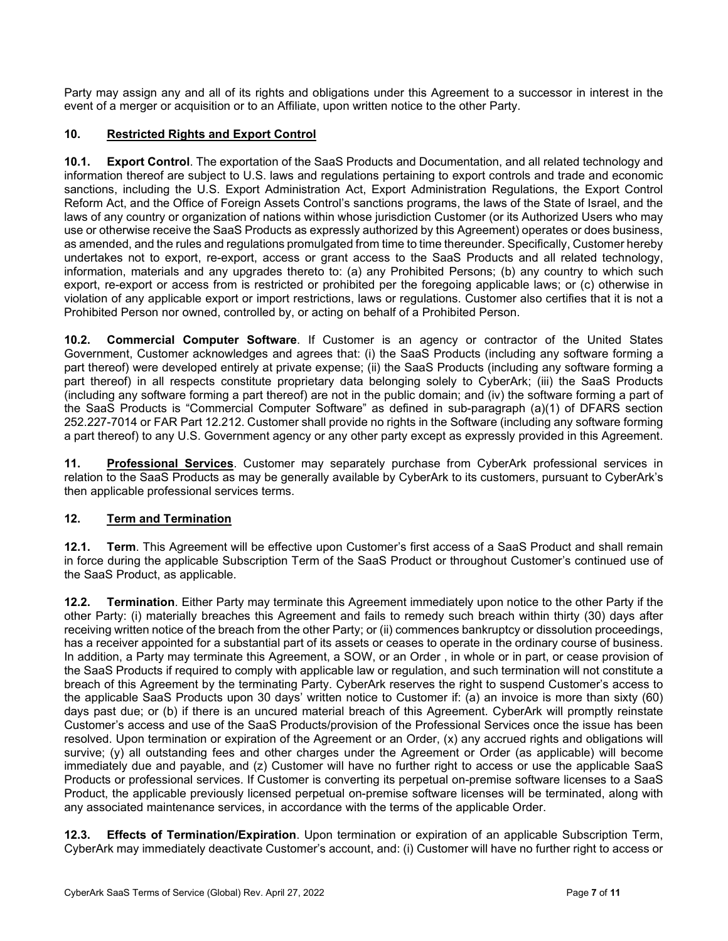Party may assign any and all of its rights and obligations under this Agreement to a successor in interest in the event of a merger or acquisition or to an Affiliate, upon written notice to the other Party.

## **10. Restricted Rights and Export Control**

**10.1. Export Control**. The exportation of the SaaS Products and Documentation, and all related technology and information thereof are subject to U.S. laws and regulations pertaining to export controls and trade and economic sanctions, including the U.S. Export Administration Act, Export Administration Regulations, the Export Control Reform Act, and the Office of Foreign Assets Control's sanctions programs, the laws of the State of Israel, and the laws of any country or organization of nations within whose jurisdiction Customer (or its Authorized Users who may use or otherwise receive the SaaS Products as expressly authorized by this Agreement) operates or does business, as amended, and the rules and regulations promulgated from time to time thereunder. Specifically, Customer hereby undertakes not to export, re-export, access or grant access to the SaaS Products and all related technology, information, materials and any upgrades thereto to: (a) any Prohibited Persons; (b) any country to which such export, re-export or access from is restricted or prohibited per the foregoing applicable laws; or (c) otherwise in violation of any applicable export or import restrictions, laws or regulations. Customer also certifies that it is not a Prohibited Person nor owned, controlled by, or acting on behalf of a Prohibited Person.

**10.2. Commercial Computer Software**. If Customer is an agency or contractor of the United States Government, Customer acknowledges and agrees that: (i) the SaaS Products (including any software forming a part thereof) were developed entirely at private expense; (ii) the SaaS Products (including any software forming a part thereof) in all respects constitute proprietary data belonging solely to CyberArk; (iii) the SaaS Products (including any software forming a part thereof) are not in the public domain; and (iv) the software forming a part of the SaaS Products is "Commercial Computer Software" as defined in sub-paragraph (a)(1) of DFARS section 252.227-7014 or FAR Part 12.212. Customer shall provide no rights in the Software (including any software forming a part thereof) to any U.S. Government agency or any other party except as expressly provided in this Agreement.

**11. Professional Services**. Customer may separately purchase from CyberArk professional services in relation to the SaaS Products as may be generally available by CyberArk to its customers, pursuant to CyberArk's then applicable professional services terms.

### **12. Term and Termination**

**12.1. Term**. This Agreement will be effective upon Customer's first access of a SaaS Product and shall remain in force during the applicable Subscription Term of the SaaS Product or throughout Customer's continued use of the SaaS Product, as applicable.

**12.2. Termination**. Either Party may terminate this Agreement immediately upon notice to the other Party if the other Party: (i) materially breaches this Agreement and fails to remedy such breach within thirty (30) days after receiving written notice of the breach from the other Party; or (ii) commences bankruptcy or dissolution proceedings, has a receiver appointed for a substantial part of its assets or ceases to operate in the ordinary course of business. In addition, a Party may terminate this Agreement, a SOW, or an Order , in whole or in part, or cease provision of the SaaS Products if required to comply with applicable law or regulation, and such termination will not constitute a breach of this Agreement by the terminating Party. CyberArk reserves the right to suspend Customer's access to the applicable SaaS Products upon 30 days' written notice to Customer if: (a) an invoice is more than sixty (60) days past due; or (b) if there is an uncured material breach of this Agreement. CyberArk will promptly reinstate Customer's access and use of the SaaS Products/provision of the Professional Services once the issue has been resolved. Upon termination or expiration of the Agreement or an Order, (x) any accrued rights and obligations will survive; (y) all outstanding fees and other charges under the Agreement or Order (as applicable) will become immediately due and payable, and (z) Customer will have no further right to access or use the applicable SaaS Products or professional services. If Customer is converting its perpetual on-premise software licenses to a SaaS Product, the applicable previously licensed perpetual on-premise software licenses will be terminated, along with any associated maintenance services, in accordance with the terms of the applicable Order.

**12.3. Effects of Termination/Expiration**. Upon termination or expiration of an applicable Subscription Term, CyberArk may immediately deactivate Customer's account, and: (i) Customer will have no further right to access or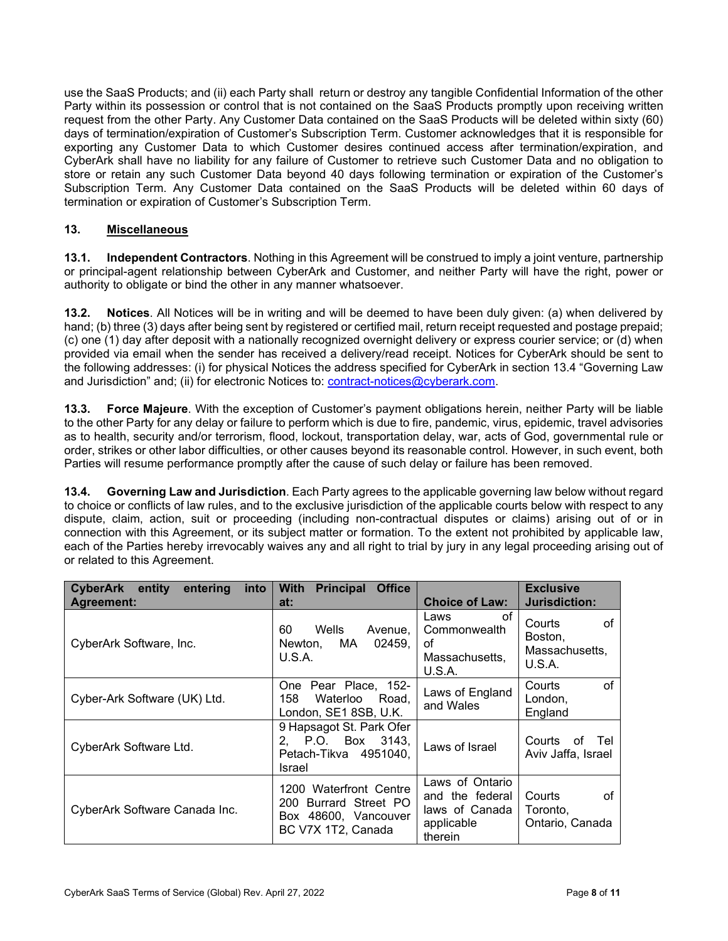use the SaaS Products; and (ii) each Party shall return or destroy any tangible Confidential Information of the other Party within its possession or control that is not contained on the SaaS Products promptly upon receiving written request from the other Party. Any Customer Data contained on the SaaS Products will be deleted within sixty (60) days of termination/expiration of Customer's Subscription Term. Customer acknowledges that it is responsible for exporting any Customer Data to which Customer desires continued access after termination/expiration, and CyberArk shall have no liability for any failure of Customer to retrieve such Customer Data and no obligation to store or retain any such Customer Data beyond 40 days following termination or expiration of the Customer's Subscription Term. Any Customer Data contained on the SaaS Products will be deleted within 60 days of termination or expiration of Customer's Subscription Term.

### **13. Miscellaneous**

**13.1. Independent Contractors**. Nothing in this Agreement will be construed to imply a joint venture, partnership or principal-agent relationship between CyberArk and Customer, and neither Party will have the right, power or authority to obligate or bind the other in any manner whatsoever.

**13.2. Notices**. All Notices will be in writing and will be deemed to have been duly given: (a) when delivered by hand; (b) three (3) days after being sent by registered or certified mail, return receipt requested and postage prepaid; (c) one (1) day after deposit with a nationally recognized overnight delivery or express courier service; or (d) when provided via email when the sender has received a delivery/read receipt. Notices for CyberArk should be sent to the following addresses: (i) for physical Notices the address specified for CyberArk in section 13.4 "Governing Law and Jurisdiction" and; (ii) for electronic Notices to: [contract-notices@cyberark.com.](mailto:contract-notices@cyberark.com)

**13.3. Force Majeure**. With the exception of Customer's payment obligations herein, neither Party will be liable to the other Party for any delay or failure to perform which is due to fire, pandemic, virus, epidemic, travel advisories as to health, security and/or terrorism, flood, lockout, transportation delay, war, acts of God, governmental rule or order, strikes or other labor difficulties, or other causes beyond its reasonable control. However, in such event, both Parties will resume performance promptly after the cause of such delay or failure has been removed.

**13.4. Governing Law and Jurisdiction**. Each Party agrees to the applicable governing law below without regard to choice or conflicts of law rules, and to the exclusive jurisdiction of the applicable courts below with respect to any dispute, claim, action, suit or proceeding (including non-contractual disputes or claims) arising out of or in connection with this Agreement, or its subject matter or formation. To the extent not prohibited by applicable law, each of the Parties hereby irrevocably waives any and all right to trial by jury in any legal proceeding arising out of or related to this Agreement.

| <b>CyberArk entity</b><br>entering<br>into<br><b>Agreement:</b> | <b>With</b><br><b>Principal</b><br><b>Office</b><br>at:                                          | <b>Choice of Law:</b>                                                         | <b>Exclusive</b><br>Jurisdiction:                   |
|-----------------------------------------------------------------|--------------------------------------------------------------------------------------------------|-------------------------------------------------------------------------------|-----------------------------------------------------|
| CyberArk Software, Inc.                                         | 60<br>Wells<br>Avenue,<br>MA.<br>02459.<br>Newton.<br>U.S.A.                                     | οf<br>Laws<br>Commonwealth<br>οf<br>Massachusetts,<br>U.S.A.                  | of<br>Courts<br>Boston,<br>Massachusetts,<br>U.S.A. |
| Cyber-Ark Software (UK) Ltd.                                    | Pear Place, 152-<br>One<br>158<br>Waterloo<br>Road.<br>London, SE1 8SB, U.K.                     | Laws of England<br>and Wales                                                  | of<br>Courts<br>London,<br>England                  |
| CyberArk Software Ltd.                                          | 9 Hapsagot St. Park Ofer<br>2. P.O. Box 3143.<br>Petach-Tikva 4951040.<br>Israel                 | Laws of Israel                                                                | Courts<br>οf<br>Tel<br>Aviv Jaffa, Israel           |
| CyberArk Software Canada Inc.                                   | 1200 Waterfront Centre<br>Burrard Street PO<br>200<br>Box 48600, Vancouver<br>BC V7X 1T2, Canada | Laws of Ontario<br>and the federal<br>laws of Canada<br>applicable<br>therein | οf<br>Courts<br>Toronto,<br>Ontario, Canada         |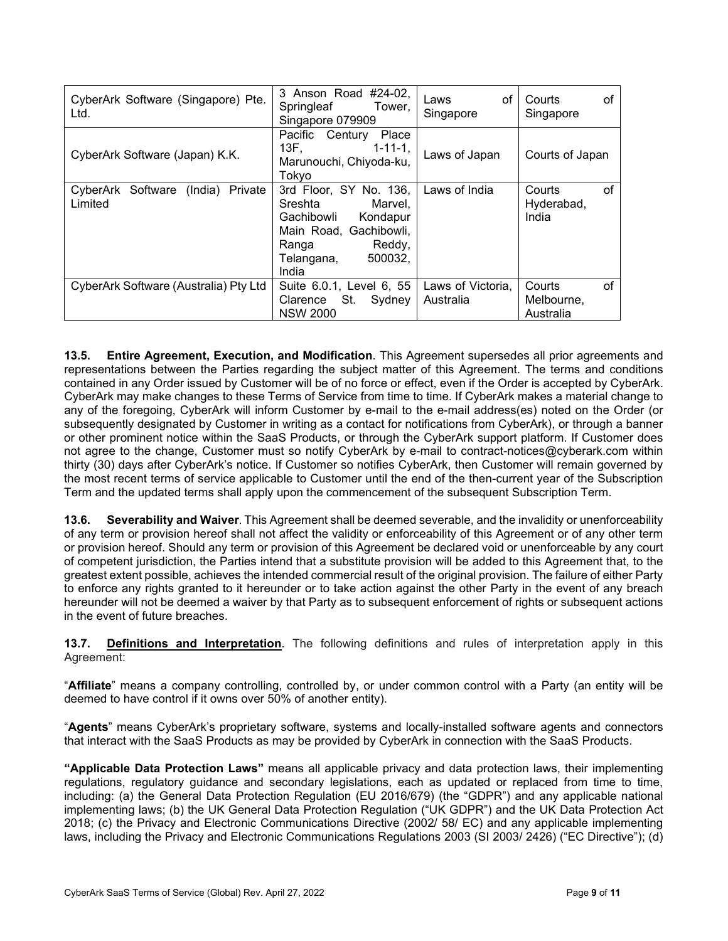| CyberArk Software (Singapore) Pte.<br>Ltd.         | 3 Anson Road #24-02,<br>Springleaf<br>Tower,<br>Singapore 079909                                                                                      | οf<br>Laws<br>Singapore        | of<br>Courts<br>Singapore               |
|----------------------------------------------------|-------------------------------------------------------------------------------------------------------------------------------------------------------|--------------------------------|-----------------------------------------|
| CyberArk Software (Japan) K.K.                     | Place<br>Century<br>Pacific<br>$1 - 11 - 1$ .<br>Marunouchi, Chiyoda-ku,<br>Tokyo                                                                     | Laws of Japan                  | Courts of Japan                         |
| Software (India)<br>Private<br>CyberArk<br>Limited | 3rd Floor, SY No. 136,<br>Sreshta<br>Marvel,<br>Gachibowli<br>Kondapur<br>Main Road, Gachibowli,<br>Reddy,<br>Ranga<br>500032,<br>Telangana,<br>India | Laws of India                  | of<br>Courts<br>Hyderabad,<br>India     |
| CyberArk Software (Australia) Pty Ltd              | Suite 6.0.1, Level 6, 55<br>St.<br>Sydney<br>Clarence<br><b>NSW 2000</b>                                                                              | Laws of Victoria,<br>Australia | of<br>Courts<br>Melbourne,<br>Australia |

**13.5. Entire Agreement, Execution, and Modification**. This Agreement supersedes all prior agreements and representations between the Parties regarding the subject matter of this Agreement. The terms and conditions contained in any Order issued by Customer will be of no force or effect, even if the Order is accepted by CyberArk. CyberArk may make changes to these Terms of Service from time to time. If CyberArk makes a material change to any of the foregoing, CyberArk will inform Customer by e-mail to the e-mail address(es) noted on the Order (or subsequently designated by Customer in writing as a contact for notifications from CyberArk), or through a banner or other prominent notice within the SaaS Products, or through the CyberArk support platform. If Customer does not agree to the change, Customer must so notify CyberArk by e-mail to contract-notices@cyberark.com within thirty (30) days after CyberArk's notice. If Customer so notifies CyberArk, then Customer will remain governed by the most recent terms of service applicable to Customer until the end of the then-current year of the Subscription Term and the updated terms shall apply upon the commencement of the subsequent Subscription Term.

**13.6. Severability and Waiver**. This Agreement shall be deemed severable, and the invalidity or unenforceability of any term or provision hereof shall not affect the validity or enforceability of this Agreement or of any other term or provision hereof. Should any term or provision of this Agreement be declared void or unenforceable by any court of competent jurisdiction, the Parties intend that a substitute provision will be added to this Agreement that, to the greatest extent possible, achieves the intended commercial result of the original provision. The failure of either Party to enforce any rights granted to it hereunder or to take action against the other Party in the event of any breach hereunder will not be deemed a waiver by that Party as to subsequent enforcement of rights or subsequent actions in the event of future breaches.

**13.7. Definitions and Interpretation**. The following definitions and rules of interpretation apply in this Agreement:

"**Affiliate**" means a company controlling, controlled by, or under common control with a Party (an entity will be deemed to have control if it owns over 50% of another entity).

"**Agents**" means CyberArk's proprietary software, systems and locally-installed software agents and connectors that interact with the SaaS Products as may be provided by CyberArk in connection with the SaaS Products.

**"Applicable Data Protection Laws"** means all applicable privacy and data protection laws, their implementing regulations, regulatory guidance and secondary legislations, each as updated or replaced from time to time, including: (a) the General Data Protection Regulation (EU 2016/679) (the "GDPR") and any applicable national implementing laws; (b) the UK General Data Protection Regulation ("UK GDPR") and the UK Data Protection Act 2018; (c) the Privacy and Electronic Communications Directive (2002/ 58/ EC) and any applicable implementing laws, including the Privacy and Electronic Communications Regulations 2003 (SI 2003/ 2426) ("EC Directive"); (d)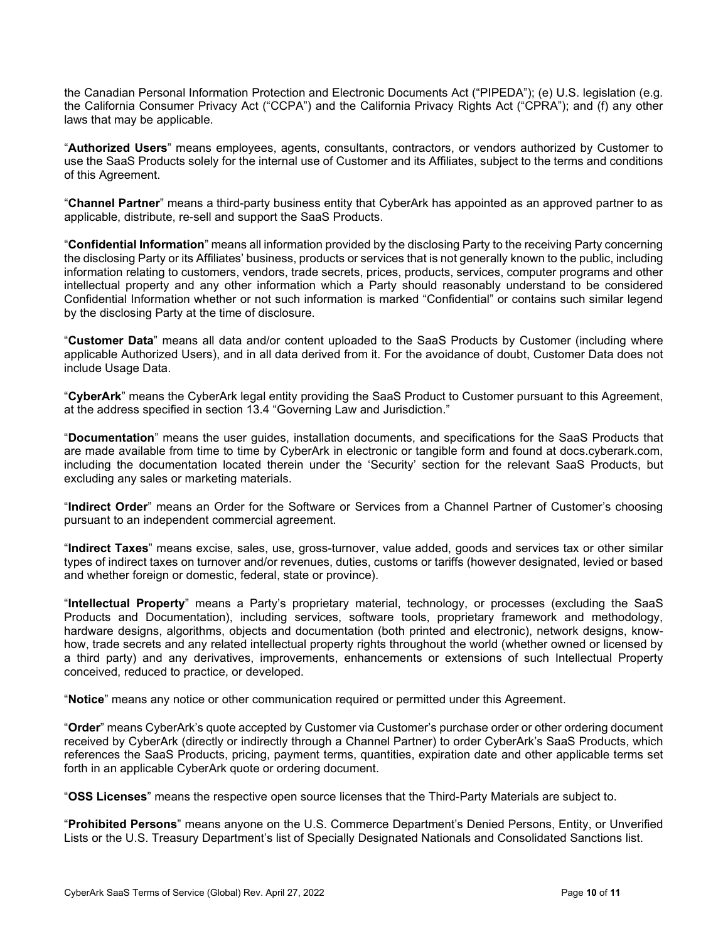the Canadian Personal Information Protection and Electronic Documents Act ("PIPEDA"); (e) U.S. legislation (e.g. the California Consumer Privacy Act ("CCPA") and the California Privacy Rights Act ("CPRA"); and (f) any other laws that may be applicable.

"**Authorized Users**" means employees, agents, consultants, contractors, or vendors authorized by Customer to use the SaaS Products solely for the internal use of Customer and its Affiliates, subject to the terms and conditions of this Agreement.

"**Channel Partner**" means a third-party business entity that CyberArk has appointed as an approved partner to as applicable, distribute, re-sell and support the SaaS Products.

"**Confidential Information**" means all information provided by the disclosing Party to the receiving Party concerning the disclosing Party or its Affiliates' business, products or services that is not generally known to the public, including information relating to customers, vendors, trade secrets, prices, products, services, computer programs and other intellectual property and any other information which a Party should reasonably understand to be considered Confidential Information whether or not such information is marked "Confidential" or contains such similar legend by the disclosing Party at the time of disclosure.

"**Customer Data**" means all data and/or content uploaded to the SaaS Products by Customer (including where applicable Authorized Users), and in all data derived from it. For the avoidance of doubt, Customer Data does not include Usage Data.

"**CyberArk**" means the CyberArk legal entity providing the SaaS Product to Customer pursuant to this Agreement, at the address specified in section 13.4 "Governing Law and Jurisdiction."

"**Documentation**" means the user guides, installation documents, and specifications for the SaaS Products that are made available from time to time by CyberArk in electronic or tangible form and found at docs.cyberark.com, including the documentation located therein under the 'Security' section for the relevant SaaS Products, but excluding any sales or marketing materials.

"**Indirect Order**" means an Order for the Software or Services from a Channel Partner of Customer's choosing pursuant to an independent commercial agreement.

"**Indirect Taxes**" means excise, sales, use, gross-turnover, value added, goods and services tax or other similar types of indirect taxes on turnover and/or revenues, duties, customs or tariffs (however designated, levied or based and whether foreign or domestic, federal, state or province).

"**Intellectual Property**" means a Party's proprietary material, technology, or processes (excluding the SaaS Products and Documentation), including services, software tools, proprietary framework and methodology, hardware designs, algorithms, objects and documentation (both printed and electronic), network designs, knowhow, trade secrets and any related intellectual property rights throughout the world (whether owned or licensed by a third party) and any derivatives, improvements, enhancements or extensions of such Intellectual Property conceived, reduced to practice, or developed.

"**Notice**" means any notice or other communication required or permitted under this Agreement.

"**Order**" means CyberArk's quote accepted by Customer via Customer's purchase order or other ordering document received by CyberArk (directly or indirectly through a Channel Partner) to order CyberArk's SaaS Products, which references the SaaS Products, pricing, payment terms, quantities, expiration date and other applicable terms set forth in an applicable CyberArk quote or ordering document.

"**OSS Licenses**" means the respective open source licenses that the Third-Party Materials are subject to.

"**Prohibited Persons**" means anyone on the U.S. Commerce Department's Denied Persons, Entity, or Unverified Lists or the U.S. Treasury Department's list of Specially Designated Nationals and Consolidated Sanctions list.